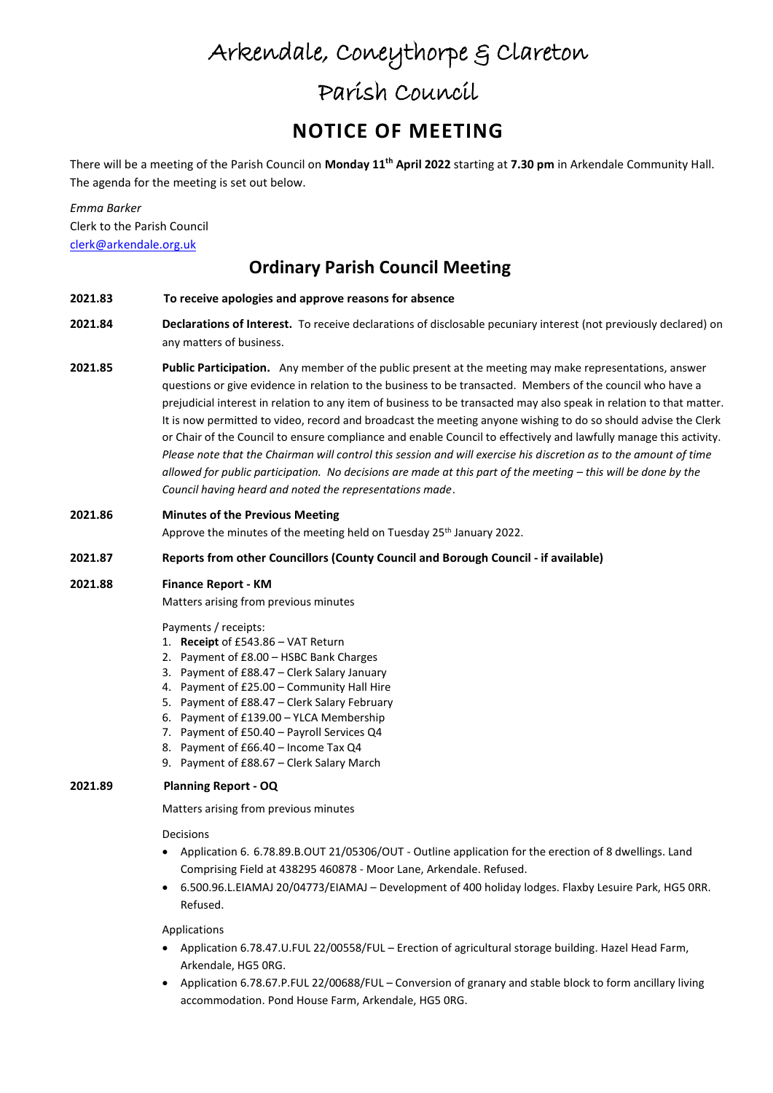# Arkendale, Coneythorpe & Clareton

## Parish Council

## **NOTICE OF MEETING**

There will be a meeting of the Parish Council on **Monday 11th April 2022** starting at **7.30 pm** in Arkendale Community Hall. The agenda for the meeting is set out below.

*Emma Barker* Clerk to the Parish Council [clerk@arkendale.org.uk](mailto:clerk@arkendale.org.uk)

### **Ordinary Parish Council Meeting**

- **2021.83 To receive apologies and approve reasons for absence**
- **2021.84 Declarations of Interest.** To receive declarations of disclosable pecuniary interest (not previously declared) on any matters of business.
- **2021.85 Public Participation.** Any member of the public present at the meeting may make representations, answer questions or give evidence in relation to the business to be transacted. Members of the council who have a prejudicial interest in relation to any item of business to be transacted may also speak in relation to that matter. It is now permitted to video, record and broadcast the meeting anyone wishing to do so should advise the Clerk or Chair of the Council to ensure compliance and enable Council to effectively and lawfully manage this activity. *Please note that the Chairman will control this session and will exercise his discretion as to the amount of time allowed for public participation. No decisions are made at this part of the meeting – this will be done by the Council having heard and noted the representations made*.
- **2021.86 Minutes of the Previous Meeting**

Approve the minutes of the meeting held on Tuesday 25<sup>th</sup> January 2022.

### **2021.87 Reports from other Councillors (County Council and Borough Council - if available)**

### **2021.88 Finance Report - KM**

Matters arising from previous minutes

Payments / receipts:

- 1. **Receipt** of £543.86 VAT Return
- 2. Payment of £8.00 HSBC Bank Charges
- 3. Payment of £88.47 Clerk Salary January
- 4. Payment of £25.00 Community Hall Hire
- 5. Payment of £88.47 Clerk Salary February
- 6. Payment of £139.00 YLCA Membership
- 7. Payment of £50.40 Payroll Services Q4
- 8. Payment of £66.40 Income Tax Q4
- 9. Payment of £88.67 Clerk Salary March

#### **2021.89 Planning Report - OQ**

Matters arising from previous minutes

Decisions

- Application 6. 6.78.89.B.OUT 21/05306/OUT Outline application for the erection of 8 dwellings. Land Comprising Field at 438295 460878 - Moor Lane, Arkendale. Refused.
- 6.500.96.L.EIAMAJ 20/04773/EIAMAJ Development of 400 holiday lodges. Flaxby Lesuire Park, HG5 0RR. Refused.

Applications

- Application 6.78.47.U.FUL 22/00558/FUL Erection of agricultural storage building. Hazel Head Farm, Arkendale, HG5 0RG.
- Application 6.78.67.P.FUL 22/00688/FUL Conversion of granary and stable block to form ancillary living accommodation. Pond House Farm, Arkendale, HG5 0RG.